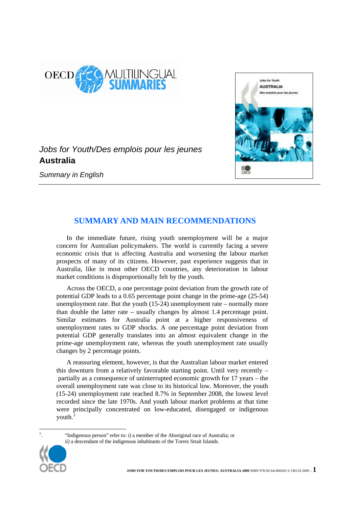

# *Jobs for Youth/Des emplois pour les jeunes*  **Australia**

*Summary in English* 



## <sup>0</sup>**SUMMARY AND MAIN RECOMMENDATIONS**

In the immediate future, rising youth unemployment will be a major concern for Australian policymakers. The world is currently facing a severe economic crisis that is affecting Australia and worsening the labour market prospects of many of its citizens. However, past experience suggests that in Australia, like in most other OECD countries, any deterioration in labour market conditions is disproportionally felt by the youth.

Across the OECD, a one percentage point deviation from the growth rate of potential GDP leads to a 0.65 percentage point change in the prime-age (25-54) unemployment rate. But the youth (15-24) unemployment rate – normally more than double the latter rate – usually changes by almost 1.4 percentage point. Similar estimates for Australia point at a higher responsiveness of unemployment rates to GDP shocks. A one percentage point deviation from potential GDP generally translates into an almost equivalent change in the prime-age unemployment rate, whereas the youth unemployment rate usually changes by 2 percentage points.

A reassuring element, however, is that the Australian labour market entered this downturn from a relatively favorable starting point. Until very recently – partially as a consequence of uninterrupted economic growth for 17 years – the overall unemployment rate was close to its historical low. Moreover, the youth (15-24) unemployment rate reached 8.7% in September 2008, the lowest level recorded since the late 1970s. And youth labour market problems at that time were principally concentrated on low-educated, disengaged or indigenous youth.

<span id="page-0-0"></span>

1 1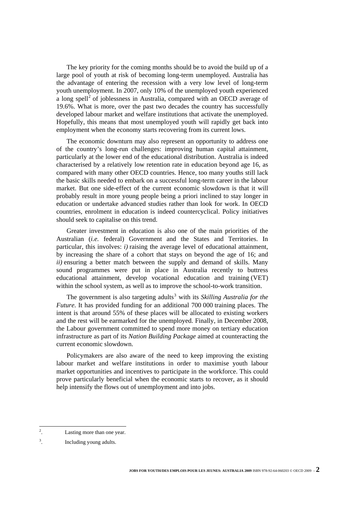The key priority for the coming months should be to avoid the build up of a large pool of youth at risk of becoming long-term unemployed. Australia has the advantage of entering the recession with a very low level of long-term youth unemployment. In 2007, only 10% of the unemployed youth experienced a long spell<sup>[2](#page-1-0)</sup> of joblessness in Australia, compared with an OECD average of 19.6%. What is more, over the past two decades the country has successfully developed labour market and welfare institutions that activate the unemployed. Hopefully, this means that most unemployed youth will rapidly get back into employment when the economy starts recovering from its current lows.

The economic downturn may also represent an opportunity to address one of the country's long-run challenges: improving human capital attainment, particularly at the lower end of the educational distribution. Australia is indeed characterised by a relatively low retention rate in education beyond age 16, as compared with many other OECD countries. Hence, too many youths still lack the basic skills needed to embark on a successful long-term career in the labour market. But one side-effect of the current economic slowdown is that it will probably result in more young people being a priori inclined to stay longer in education or undertake advanced studies rather than look for work. In OECD countries, enrolment in education is indeed countercyclical. Policy initiatives should seek to capitalise on this trend.

Greater investment in education is also one of the main priorities of the Australian (*i.e.* federal) Government and the States and Territories. In particular, this involves: *i)* raising the average level of educational attainment, by increasing the share of a cohort that stays on beyond the age of 16; and *ii)* ensuring a better match between the supply and demand of skills. Many sound programmes were put in place in Australia recently to buttress educational attainment, develop vocational education and training (VET) within the school system, as well as to improve the school-to-work transition.

The government is also targeting adults<sup>[3](#page-1-1)</sup> with its *Skilling Australia for the Future*. It has provided funding for an additional 700 000 training places. The intent is that around 55% of these places will be allocated to existing workers and the rest will be earmarked for the unemployed. Finally, in December 2008, the Labour government committed to spend more money on tertiary education infrastructure as part of its *Nation Building Package* aimed at counteracting the current economic slowdown.

Policymakers are also aware of the need to keep improving the existing labour market and welfare institutions in order to maximise youth labour market opportunities and incentives to participate in the workforce. This could prove particularly beneficial when the economic starts to recover, as it should help intensify the flows out of unemployment and into jobs.

 $\frac{1}{2}$ . Lasting more than one year.

<span id="page-1-1"></span><span id="page-1-0"></span><sup>3</sup> . Including young adults.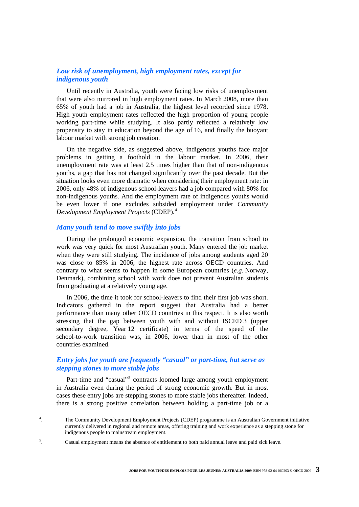## <sup>6</sup>*Low risk of unemployment, high employment rates, except for indigenous youth*

Until recently in Australia, youth were facing low risks of unemployment that were also mirrored in high employment rates. In March 2008, more than 65% of youth had a job in Australia, the highest level recorded since 1978. High youth employment rates reflected the high proportion of young people working part-time while studying. It also partly reflected a relatively low propensity to stay in education beyond the age of 16, and finally the buoyant labour market with strong job creation.

On the negative side, as suggested above, indigenous youths face major problems in getting a foothold in the labour market. In 2006, their unemployment rate was at least 2.5 times higher than that of non-indigenous youths, a gap that has not changed significantly over the past decade. But the situation looks even more dramatic when considering their employment rate: in 2006, only 48% of indigenous school-leavers had a job compared with 80% for non-indigenous youths. And the employment rate of indigenous youths would be even lower if one excludes subsided employment under *Community Development Employment Projects* (CDEP).[4](#page-2-0)

### <sup>7</sup>*Many youth tend to move swiftly into jobs*

During the prolonged economic expansion, the transition from school to work was very quick for most Australian youth. Many entered the job market when they were still studying. The incidence of jobs among students aged 20 was close to 85% in 2006, the highest rate across OECD countries. And contrary to what seems to happen in some European countries (*e.g.* Norway, Denmark), combining school with work does not prevent Australian students from graduating at a relatively young age.

In 2006, the time it took for school-leavers to find their first job was short. Indicators gathered in the report suggest that Australia had a better performance than many other OECD countries in this respect. It is also worth stressing that the gap between youth with and without ISCED 3 (upper secondary degree, Year 12 certificate) in terms of the speed of the school-to-work transition was, in 2006, lower than in most of the other countries examined.

## <sup>8</sup>*Entry jobs for youth are frequently "casual" or part-time, but serve as stepping stones to more stable jobs*

Part-time and "casual"<sup>[5](#page-2-1)</sup> contracts loomed large among youth employment in Australia even during the period of strong economic growth. But in most cases these entry jobs are stepping stones to more stable jobs thereafter. Indeed, there is a strong positive correlation between holding a part-time job or a

<span id="page-2-0"></span> $\frac{1}{4}$ 

<sup>.</sup> The Community Development Employment Projects (CDEP) programme is an Australian Government initiative currently delivered in regional and remote areas, offering training and work experience as a stepping stone for indigenous people to mainstream employment.

<span id="page-2-1"></span><sup>5</sup> . Casual employment means the absence of entitlement to both paid annual leave and paid sick leave.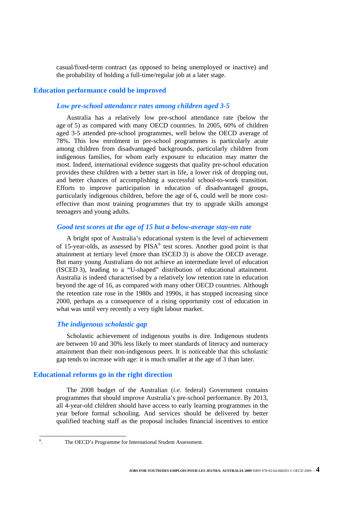casual/fixed-term contract (as opposed to being unemployed or inactive) and the probability of holding a full-time/regular job at a later stage.

#### <sup>1</sup>**Education performance could be improved**

#### <sup>9</sup>*Low pre-school attendance rates among children aged 3-5*

Australia has a relatively low pre-school attendance rate (below the age of 5) as compared with many OECD countries. In 2005, 60% of children aged 3-5 attended pre-school programmes, well below the OECD average of 78%. This low enrolment in pre-school programmes is particularly acute among children from disadvantaged backgrounds, particularly children from indigenous families, for whom early exposure to education may matter the most. Indeed, international evidence suggests that quality pre-school education provides these children with a better start in life, a lower risk of dropping out, and better chances of accomplishing a successful school-to-work transition. Efforts to improve participation in education of disadvantaged groups, particularly indigenous children, before the age of 6, could well be more costeffective than most training programmes that try to upgrade skills amongst teenagers and young adults.

#### 1 0*Good test scores at the age of 15 but a below-average stay-on rate*

A bright spot of Australia's educational system is the level of achievement of 15-year-olds, as assessed by  $PISA<sup>6</sup>$  $PISA<sup>6</sup>$  $PISA<sup>6</sup>$  test scores. Another good point is that attainment at tertiary level (more than ISCED 3) is above the OECD average. But many young Australians do not achieve an intermediate level of education (ISCED 3), leading to a "U-shaped" distribution of educational attainment. Australia is indeed characterised by a relatively low retention rate in education beyond the age of 16, as compared with many other OECD countries. Although the retention rate rose in the 1980s and 1990s, it has stopped increasing since 2000, perhaps as a consequence of a rising opportunity cost of education in what was until very recently a very tight labour market.

#### 1 1*The indigenous scholastic gap*

Scholastic achievement of indigenous youths is dire. Indigenous students are between 10 and 30% less likely to meet standards of literacy and numeracy attainment than their non-indigenous peers. It is noticeable that this scholastic gap tends to increase with age: it is much smaller at the age of 3 than later.

#### <sup>2</sup>**Educational reforms go in the right direction**

The 2008 budget of the Australian (*i.e.* federal) Government contains programmes that should improve Australia's pre-school performance. By 2013, all 4-year-old children should have access to early learning programmes in the year before formal schooling. And services should be delivered by better qualified teaching staff as the proposal includes financial incentives to entice

<span id="page-3-0"></span> $-$ <br>6

<sup>.</sup> The OECD's Programme for International Student Assessment.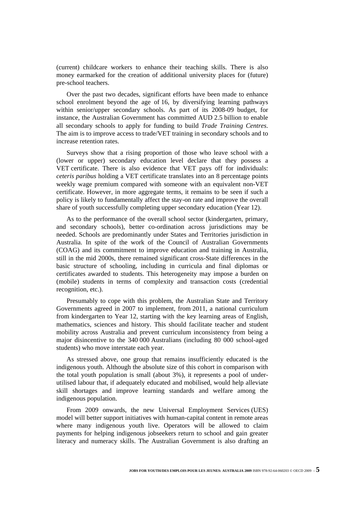(current) childcare workers to enhance their teaching skills. There is also money earmarked for the creation of additional university places for (future) pre-school teachers.

Over the past two decades, significant efforts have been made to enhance school enrolment beyond the age of 16, by diversifying learning pathways within senior/upper secondary schools. As part of its 2008-09 budget, for instance, the Australian Government has committed AUD 2.5 billion to enable all secondary schools to apply for funding to build *Trade Training Centres*. The aim is to improve access to trade/VET training in secondary schools and to increase retention rates.

Surveys show that a rising proportion of those who leave school with a (lower or upper) secondary education level declare that they possess a VET certificate. There is also evidence that VET pays off for individuals: *ceteris paribus* holding a VET certificate translates into an 8 percentage points weekly wage premium compared with someone with an equivalent non-VET certificate. However, in more aggregate terms, it remains to be seen if such a policy is likely to fundamentally affect the stay-on rate and improve the overall share of youth successfully completing upper secondary education (Year 12).

As to the performance of the overall school sector (kindergarten, primary, and secondary schools), better co-ordination across jurisdictions may be needed. Schools are predominantly under States and Territories jurisdiction in Australia. In spite of the work of the Council of Australian Governments (COAG) and its commitment to improve education and training in Australia, still in the mid 2000s, there remained significant cross-State differences in the basic structure of schooling, including in curricula and final diplomas or certificates awarded to students. This heterogeneity may impose a burden on (mobile) students in terms of complexity and transaction costs (credential recognition, etc.).

Presumably to cope with this problem, the Australian State and Territory Governments agreed in 2007 to implement, from 2011, a national curriculum from kindergarten to Year 12, starting with the key learning areas of English, mathematics, sciences and history. This should facilitate teacher and student mobility across Australia and prevent curriculum inconsistency from being a major disincentive to the 340 000 Australians (including 80 000 school-aged students) who move interstate each year.

As stressed above, one group that remains insufficiently educated is the indigenous youth. Although the absolute size of this cohort in comparison with the total youth population is small (about 3%), it represents a pool of underutilised labour that, if adequately educated and mobilised, would help alleviate skill shortages and improve learning standards and welfare among the indigenous population.

From 2009 onwards, the new Universal Employment Services (UES) model will better support initiatives with human-capital content in remote areas where many indigenous youth live. Operators will be allowed to claim payments for helping indigenous jobseekers return to school and gain greater literacy and numeracy skills. The Australian Government is also drafting an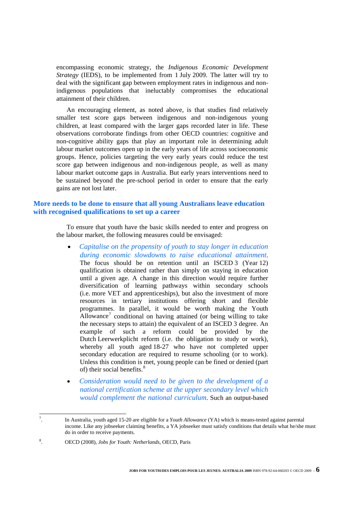encompassing economic strategy, the *Indigenous Economic Development Strategy* (IEDS), to be implemented from 1 July 2009. The latter will try to deal with the significant gap between employment rates in indigenous and nonindigenous populations that ineluctably compromises the educational attainment of their children.

An encouraging element, as noted above, is that studies find relatively smaller test score gaps between indigenous and non-indigenous young children, at least compared with the larger gaps recorded later in life. These observations corroborate findings from other OECD countries: cognitive and non-cognitive ability gaps that play an important role in determining adult labour market outcomes open up in the early years of life across socioeconomic groups. Hence, policies targeting the very early years could reduce the test score gap between indigenous and non-indigenous people, as well as many labour market outcome gaps in Australia. But early years interventions need to be sustained beyond the pre-school period in order to ensure that the early gains are not lost later.

## <sup>3</sup>**More needs to be done to ensure that all young Australians leave education with recognised qualifications to set up a career**

To ensure that youth have the basic skills needed to enter and progress on the labour market, the following measures could be envisaged:

- *Capitalise on the propensity of youth to stay longer in education during economic slowdowns to raise educational attainment*. The focus should be on retention until an ISCED 3 (Year 12) qualification is obtained rather than simply on staying in education until a given age. A change in this direction would require further diversification of learning pathways within secondary schools (i.e. more VET and apprenticeships), but also the investment of more resources in tertiary institutions offering short and flexible programmes. In parallel, it would be worth making the Youth Allowance<sup>[7](#page-5-0)</sup> conditional on having attained (or being willing to take the necessary steps to attain) the equivalent of an ISCED 3 degree. An example of such a reform could be provided by the Dutch Leerwerkplicht reform (i.e. the obligation to study or work), whereby all youth aged 18-27 who have not completed upper secondary education are required to resume schooling (or to work). Unless this condition is met, young people can be fined or denied (part of) their social benefits.[8](#page-5-1)
- *Consideration would need to be given to the development of a national certification scheme at the upper secondary level which would complement the national curriculum*. Such an output-based

<span id="page-5-0"></span><sup>1</sup> 7 . In Australia, youth aged 15-20 are eligible for a *Youth Allowance* (YA) which is means-tested against parental income. Like any jobseeker claiming benefits, a YA jobseeker must satisfy conditions that details what he/she must do in order to receive payments.

<span id="page-5-1"></span><sup>8</sup> . OECD (2008), *Jobs for Youth: Netherlands*, OECD, Paris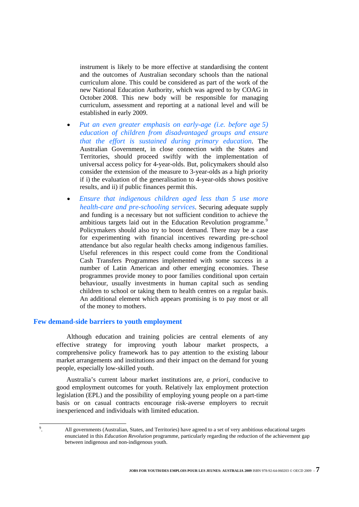instrument is likely to be more effective at standardising the content and the outcomes of Australian secondary schools than the national curriculum alone. This could be considered as part of the work of the new National Education Authority, which was agreed to by COAG in October 2008. This new body will be responsible for managing curriculum, assessment and reporting at a national level and will be established in early 2009.

- *Put an even greater emphasis on early-age (i.e. before age 5) education of children from disadvantaged groups and ensure that the effort is sustained during primary education*. The Australian Government, in close connection with the States and Territories, should proceed swiftly with the implementation of universal access policy for 4-year-olds. But, policymakers should also consider the extension of the measure to 3-year-olds as a high priority if i) the evaluation of the generalisation to 4-year-olds shows positive results, and ii) if public finances permit this.
- *Ensure that indigenous children aged less than 5 use more health-care and pre-schooling services*. Securing adequate supply and funding is a necessary but not sufficient condition to achieve the ambitious targets laid out in the Education Revolution programme.<sup>[9](#page-6-0)</sup> Policymakers should also try to boost demand. There may be a case for experimenting with financial incentives rewarding pre-school attendance but also regular health checks among indigenous families. Useful references in this respect could come from the Conditional Cash Transfers Programmes implemented with some success in a number of Latin American and other emerging economies. These programmes provide money to poor families conditional upon certain behaviour, usually investments in human capital such as sending children to school or taking them to health centres on a regular basis. An additional element which appears promising is to pay most or all of the money to mothers.

#### <sup>4</sup>**Few demand-side barriers to youth employment**

Although education and training policies are central elements of any effective strategy for improving youth labour market prospects, a comprehensive policy framework has to pay attention to the existing labour market arrangements and institutions and their impact on the demand for young people, especially low-skilled youth.

Australia's current labour market institutions are, *a priori,* conducive to good employment outcomes for youth. Relatively lax employment protection legislation (EPL) and the possibility of employing young people on a part-time basis or on casual contracts encourage risk-averse employers to recruit inexperienced and individuals with limited education.

<span id="page-6-0"></span><sup>-&</sup>lt;br>9

<sup>.</sup> All governments (Australian, States, and Territories) have agreed to a set of very ambitious educational targets enunciated in this *Education Revolution* programme, particularly regarding the reduction of the achievement gap between indigenous and non-indigenous youth.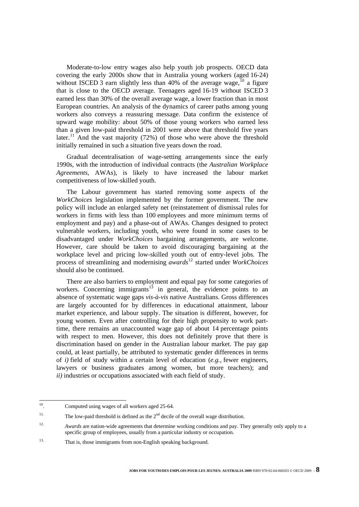Moderate-to-low entry wages also help youth job prospects. OECD data covering the early 2000s show that in Australia young workers (aged 16-24) without ISCED 3 earn slightly less than 40% of the average wage.<sup>[10](#page-7-0)</sup> a figure that is close to the OECD average. Teenagers aged 16-19 without ISCED 3 earned less than 30% of the overall average wage, a lower fraction than in most European countries. An analysis of the dynamics of career paths among young workers also conveys a reassuring message. Data confirm the existence of upward wage mobility: about 50% of those young workers who earned less than a given low-paid threshold in 2001 were above that threshold five years later.<sup>[11](#page-7-1)</sup> And the vast majority (72%) of those who were above the threshold initially remained in such a situation five years down the road.

Gradual decentralisation of wage-setting arrangements since the early 1990s, with the introduction of individual contracts (the *Australian Workplace Agreements*, AWAs), is likely to have increased the labour market competitiveness of low-skilled youth.

The Labour government has started removing some aspects of the *WorkChoices* legislation implemented by the former government. The new policy will include an enlarged safety net (reinstatement of dismissal rules for workers in firms with less than 100 employees and more minimum terms of employment and pay) and a phase-out of AWAs. Changes designed to protect vulnerable workers, including youth, who were found in some cases to be disadvantaged under *WorkChoices* bargaining arrangements, are welcome. However, care should be taken to avoid discouraging bargaining at the workplace level and pricing low-skilled youth out of entry-level jobs. The process of streamlining and modernising *awards*[12](#page-7-2) started under *WorkChoices* should also be continued.

There are also barriers to employment and equal pay for some categories of workers. Concerning immigrants<sup>[13](#page-7-3)</sup> in general, the evidence points to an absence of systematic wage gaps *vis-à-vis* native Australians. Gross differences are largely accounted for by differences in educational attainment, labour market experience, and labour supply. The situation is different, however, for young women. Even after controlling for their high propensity to work parttime, there remains an unaccounted wage gap of about 14 percentage points with respect to men. However, this does not definitely prove that there is discrimination based on gender in the Australian labour market. The pay gap could, at least partially, be attributed to systematic gender differences in terms of *i*) field of study within a certain level of education (*e.g.*, fewer engineers, lawyers or business graduates among women, but more teachers); and *ii)* industries or occupations associated with each field of study.

<span id="page-7-0"></span> $10\,$ Computed using wages of all workers aged 25-64.

<span id="page-7-1"></span><sup>&</sup>lt;sup>11.</sup> The low-paid threshold is defined as the  $2<sup>nd</sup>$  decile of the overall wage distribution.

<span id="page-7-2"></span><sup>&</sup>lt;sup>12.</sup> *Awards* are nation-wide agreements that determine working conditions and pay. They generally only apply to a specific group of employees, usually from a particular industry or occupation.

<span id="page-7-3"></span><sup>13.</sup> That is, those immigrants from non-English speaking background.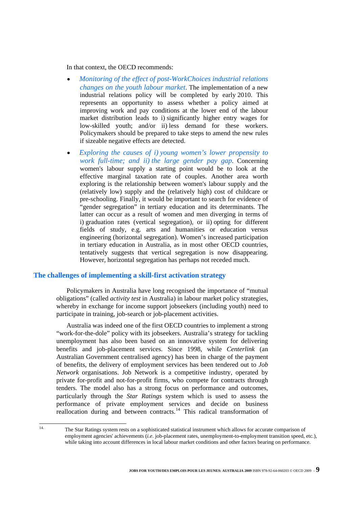In that context, the OECD recommends:

- *Monitoring of the effect of post-WorkChoices industrial relations changes on the youth labour market*. The implementation of a new industrial relations policy will be completed by early 2010. This represents an opportunity to assess whether a policy aimed at improving work and pay conditions at the lower end of the labour market distribution leads to i) significantly higher entry wages for low-skilled youth; and/or ii) less demand for these workers. Policymakers should be prepared to take steps to amend the new rules if sizeable negative effects are detected.
- *Exploring the causes of i) young women's lower propensity to work full-time; and ii) the large gender pay gap*. Concerning women's labour supply a starting point would be to look at the effective marginal taxation rate of couples. Another area worth exploring is the relationship between women's labour supply and the (relatively low) supply and the (relatively high) cost of childcare or pre-schooling. Finally, it would be important to search for evidence of "gender segregation" in tertiary education and its determinants. The latter can occur as a result of women and men diverging in terms of i) graduation rates (vertical segregation), or ii) opting for different fields of study, e.g. arts and humanities or education versus engineering (horizontal segregation). Women's increased participation in tertiary education in Australia, as in most other OECD countries, tentatively suggests that vertical segregation is now disappearing. However, horizontal segregation has perhaps not receded much.

#### <sup>5</sup>**The challenges of implementing a skill-first activation strategy**

Policymakers in Australia have long recognised the importance of "mutual obligations" (called *activity test* in Australia) in labour market policy strategies, whereby in exchange for income support jobseekers (including youth) need to participate in training, job-search or job-placement activities.

Australia was indeed one of the first OECD countries to implement a strong "work-for-the-dole" policy with its jobseekers. Australia's strategy for tackling unemployment has also been based on an innovative system for delivering benefits and job-placement services. Since 1998, while *Centerlink* (an Australian Government centralised agency) has been in charge of the payment of benefits, the delivery of employment services has been tendered out to *Job Network* organisations. Job Network is a competitive industry, operated by private for-profit and not-for-profit firms, who compete for contracts through tenders. The model also has a strong focus on performance and outcomes, particularly through the *Star Ratings* system which is used to assess the performance of private employment services and decide on business reallocation during and between contracts.<sup>[14](#page-8-0)</sup> This radical transformation of

<span id="page-8-0"></span> $14$ 

<sup>14.</sup> The Star Ratings system rests on a sophisticated statistical instrument which allows for accurate comparison of employment agencies' achievements (*i.e*. job-placement rates, unemployment-to-employment transition speed, etc.), while taking into account differences in local labour market conditions and other factors bearing on performance.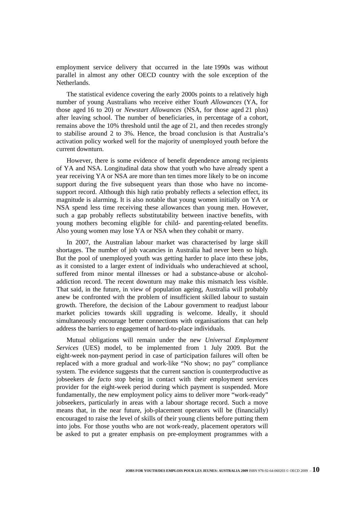employment service delivery that occurred in the late 1990s was without parallel in almost any other OECD country with the sole exception of the Netherlands.

The statistical evidence covering the early 2000s points to a relatively high number of young Australians who receive either *Youth Allowances* (YA, for those aged 16 to 20) or *Newstart Allowances* (NSA, for those aged 21 plus) after leaving school. The number of beneficiaries, in percentage of a cohort, remains above the 10% threshold until the age of 21, and then recedes strongly to stabilise around 2 to 3%. Hence, the broad conclusion is that Australia's activation policy worked well for the majority of unemployed youth before the current downturn.

However, there is some evidence of benefit dependence among recipients of YA and NSA. Longitudinal data show that youth who have already spent a year receiving YA or NSA are more than ten times more likely to be on income support during the five subsequent years than those who have no incomesupport record. Although this high ratio probably reflects a selection effect, its magnitude is alarming. It is also notable that young women initially on YA or NSA spend less time receiving these allowances than young men. However, such a gap probably reflects substitutability between inactive benefits, with young mothers becoming eligible for child- and parenting-related benefits. Also young women may lose YA or NSA when they cohabit or marry.

In 2007, the Australian labour market was characterised by large skill shortages. The number of job vacancies in Australia had never been so high. But the pool of unemployed youth was getting harder to place into these jobs, as it consisted to a larger extent of individuals who underachieved at school, suffered from minor mental illnesses or had a substance-abuse or alcoholaddiction record. The recent downturn may make this mismatch less visible. That said, in the future, in view of population ageing, Australia will probably anew be confronted with the problem of insufficient skilled labour to sustain growth. Therefore, the decision of the Labour government to readjust labour market policies towards skill upgrading is welcome. Ideally, it should simultaneously encourage better connections with organisations that can help address the barriers to engagement of hard-to-place individuals.

Mutual obligations will remain under the new *Universal Employment Services* (UES) model, to be implemented from 1 July 2009. But the eight-week non-payment period in case of participation failures will often be replaced with a more gradual and work-like "No show; no pay" compliance system. The evidence suggests that the current sanction is counterproductive as jobseekers *de facto* stop being in contact with their employment services provider for the eight-week period during which payment is suspended. More fundamentally, the new employment policy aims to deliver more "work-ready" jobseekers, particularly in areas with a labour shortage record. Such a move means that, in the near future, job-placement operators will be (financially) encouraged to raise the level of skills of their young clients before putting them into jobs. For those youths who are not work-ready, placement operators will be asked to put a greater emphasis on pre-employment programmes with a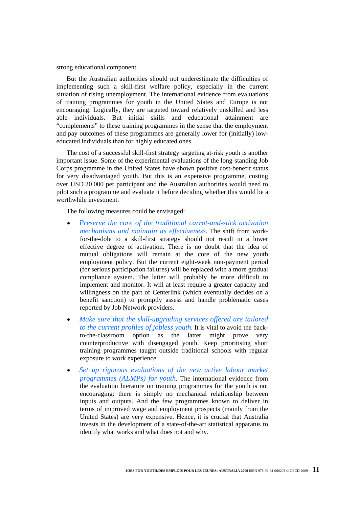strong educational component.

But the Australian authorities should not underestimate the difficulties of implementing such a skill-first welfare policy, especially in the current situation of rising unemployment. The international evidence from evaluations of training programmes for youth in the United States and Europe is not encouraging. Logically, they are targeted toward relatively unskilled and less able individuals. But initial skills and educational attainment are "complements" to these training programmes in the sense that the employment and pay outcomes of these programmes are generally lower for (initially) loweducated individuals than for highly educated ones.

The cost of a successful skill-first strategy targeting at-risk youth is another important issue. Some of the experimental evaluations of the long-standing Job Corps programme in the United States have shown positive cost-benefit status for very disadvantaged youth. But this is an expensive programme, costing over USD 20 000 per participant and the Australian authorities would need to pilot such a programme and evaluate it before deciding whether this would be a worthwhile investment.

The following measures could be envisaged:

- *Preserve the core of the traditional carrot-and-stick activation mechanisms and maintain its effectiveness*. The shift from workfor-the-dole to a skill-first strategy should not result in a lower effective degree of activation. There is no doubt that the idea of mutual obligations will remain at the core of the new youth employment policy. But the current eight-week non-payment period (for serious participation failures) will be replaced with a more gradual compliance system. The latter will probably be more difficult to implement and monitor. It will at least require a greater capacity and willingness on the part of Centerlink (which eventually decides on a benefit sanction) to promptly assess and handle problematic cases reported by Job Network providers.
- *Make sure that the skill-upgrading services offered are tailored to the current profiles of jobless youth*. It is vital to avoid the backto-the-classroom option as the latter might prove very counterproductive with disengaged youth. Keep prioritising short training programmes taught outside traditional schools with regular exposure to work experience.
- *Set up rigorous evaluations of the new active labour market programmes (ALMPs) for youth*. The international evidence from the evaluation literature on training programmes for the youth is not encouraging: there is simply no mechanical relationship between inputs and outputs. And the few programmes known to deliver in terms of improved wage and employment prospects (mainly from the United States) are very expensive. Hence, it is crucial that Australia invests in the development of a state-of-the-art statistical apparatus to identify what works and what does not and why.